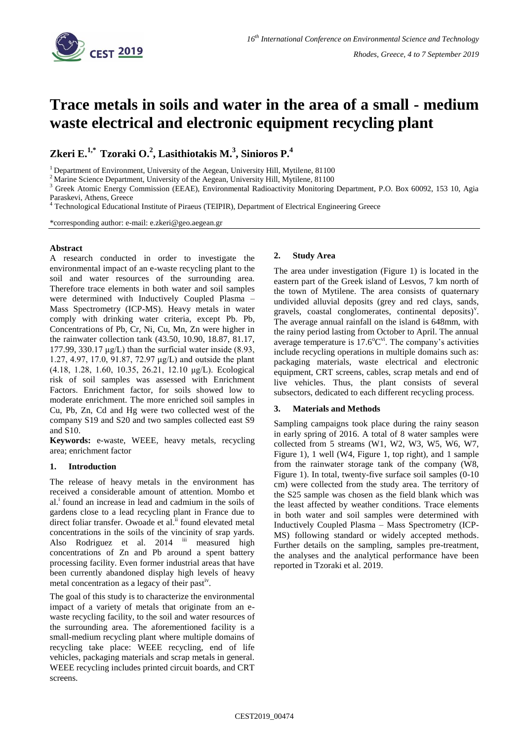

# **Trace metals in soils and water in the area of a small - medium waste electrical and electronic equipment recycling plant**

**Zkeri E.1,\* Tzoraki O.<sup>2</sup> , Lasithiotakis M.<sup>3</sup> , Sinioros P.<sup>4</sup>**

<sup>1</sup> Department of Environment, University of the Aegean, University Hill, Mytilene, 81100

<sup>2</sup> Marine Science Department, University of the Aegean, University Hill, Mytilene, 81100

<sup>3</sup> Greek Atomic Energy Commission (EEAE), Environmental Radioactivity Monitoring Department, P.O. Box 60092, 153 10, Agia Paraskevi, Athens, Greece

<sup>4</sup> [Technological Educational Institute of Piraeus](https://www.researchgate.net/institution/Technological_Educational_Institute_of_Piraeus) (TEIPIR)[, Department of Electrical Engineering](https://www.researchgate.net/institution/Technological_Educational_Institute_of_Piraeus/department/Department_of_Electrical_Engineering) Greece

\*corresponding author: e-mail: e.zkeri@geo.aegean.gr

## **Abstract**

A research conducted in order to investigate the environmental impact of an e-waste recycling plant to the soil and water resources of the surrounding area. Therefore trace elements in both water and soil samples were determined with Inductively Coupled Plasma – Mass Spectrometry (ICP-MS). Heavy metals in water comply with drinking water criteria, except Pb. Pb, Concentrations of Pb, Cr, Ni, Cu, Mn, Zn were higher in the rainwater collection tank (43.50, 10.90, 18.87, 81.17, 177.99, 330.17  $\mu$ g/L) than the surficial water inside (8.93, 1.27, 4.97, 17.0, 91.87, 72.97 μg/L) and outside the plant (4.18, 1.28, 1.60, 10.35, 26.21, 12.10 μg/L). Ecological risk of soil samples was assessed with Enrichment Factors. Enrichment factor, for soils showed low to moderate enrichment. The more enriched soil samples in Cu, Pb, Zn, Cd and Hg were two collected west of the company S19 and S20 and two samples collected east S9 and S10.

**Keywords:** e-waste, WEEE, heavy metals, recycling area; enrichment factor

# **1. Introduction**

The release of heavy metals in the environment has received a considerable amount of attention. Mombo et al.<sup>i</sup> found an increase in lead and cadmium in the soils of gardens close to a lead recycling plant in France due to direct foliar transfer. Owoade et al.<sup>ii</sup> found elevated metal concentrations in the soils of the vincinity of srap yards. Also Rodriguez et al. 2014 iii measured high concentrations of Zn and Pb around a spent battery processing facility. Even former industrial areas that have been currently abandoned display high levels of heavy metal concentration as a legacy of their past<sup>iv</sup>.

The goal of this study is to characterize the environmental impact of a variety of metals that originate from an ewaste recycling facility, to the soil and water resources of the surrounding area. The aforementioned facility is a small-medium recycling plant where multiple domains of recycling take place: WEEE recycling, end of life vehicles, packaging materials and scrap metals in general. WEEE recycling includes printed circuit boards, and CRT screens.

## **2. Study Area**

The area under investigation (Figure 1) is located in the eastern part of the Greek island of Lesvos, 7 km north of the town of Mytilene. The area consists of quaternary undivided alluvial deposits (grey and red clays, sands, gravels, coastal conglomerates, continental deposits)<sup>v</sup>. The average annual rainfall on the island is 648mm, with the rainy period lasting from October to April. The annual average temperature is  $17.6^{\circ}$ C<sup>vi</sup>. The company's activities include recycling operations in multiple domains such as: packaging materials, waste electrical and electronic equipment, CRT screens, cables, scrap metals and end of live vehicles. Thus, the plant consists of several subsectors, dedicated to each different recycling process.

# **3. Materials and Methods**

Sampling campaigns took place during the rainy season in early spring of 2016. A total of 8 water samples were collected from 5 streams (W1, W2, W3, W5, W6, W7, Figure 1), 1 well (W4, Figure 1, top right), and 1 sample from the rainwater storage tank of the company (W8, Figure 1). In total, twenty-five surface soil samples (0-10 cm) were collected from the study area. The territory of the S25 sample was chosen as the field blank which was the least affected by weather conditions. Trace elements in both water and soil samples were determined with Inductively Coupled Plasma – Mass Spectrometry (ICP-MS) following standard or widely accepted methods. Further details on the sampling, samples pre-treatment, the analyses and the analytical performance have been reported in Tzoraki et al. 2019.